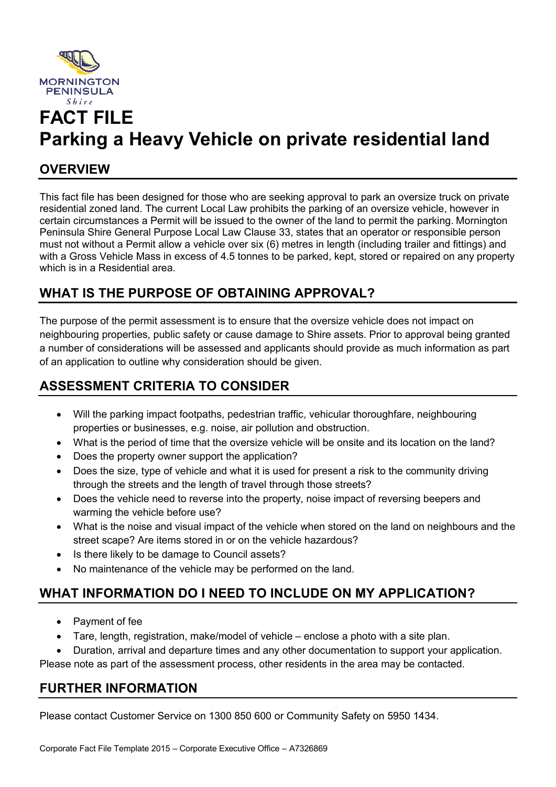

# **FACT FILE Parking a Heavy Vehicle on private residential land**

### **OVERVIEW**

This fact file has been designed for those who are seeking approval to park an oversize truck on private residential zoned land. The current Local Law prohibits the parking of an oversize vehicle, however in certain circumstances a Permit will be issued to the owner of the land to permit the parking. Mornington Peninsula Shire General Purpose Local Law Clause 33, states that an operator or responsible person must not without a Permit allow a vehicle over six (6) metres in length (including trailer and fittings) and with a Gross Vehicle Mass in excess of 4.5 tonnes to be parked, kept, stored or repaired on any property which is in a Residential area.

## **WHAT IS THE PURPOSE OF OBTAINING APPROVAL?**

The purpose of the permit assessment is to ensure that the oversize vehicle does not impact on neighbouring properties, public safety or cause damage to Shire assets. Prior to approval being granted a number of considerations will be assessed and applicants should provide as much information as part of an application to outline why consideration should be given.

### **ASSESSMENT CRITERIA TO CONSIDER**

- Will the parking impact footpaths, pedestrian traffic, vehicular thoroughfare, neighbouring properties or businesses, e.g. noise, air pollution and obstruction.
- What is the period of time that the oversize vehicle will be onsite and its location on the land?
- Does the property owner support the application?
- Does the size, type of vehicle and what it is used for present a risk to the community driving through the streets and the length of travel through those streets?
- Does the vehicle need to reverse into the property, noise impact of reversing beepers and warming the vehicle before use?
- What is the noise and visual impact of the vehicle when stored on the land on neighbours and the street scape? Are items stored in or on the vehicle hazardous?
- Is there likely to be damage to Council assets?
- No maintenance of the vehicle may be performed on the land.

# **WHAT INFORMATION DO I NEED TO INCLUDE ON MY APPLICATION?**

- Payment of fee
- Tare, length, registration, make/model of vehicle enclose a photo with a site plan.
- Duration, arrival and departure times and any other documentation to support your application.

Please note as part of the assessment process, other residents in the area may be contacted.

### **FURTHER INFORMATION**

Please contact Customer Service on 1300 850 600 or Community Safety on 5950 1434.